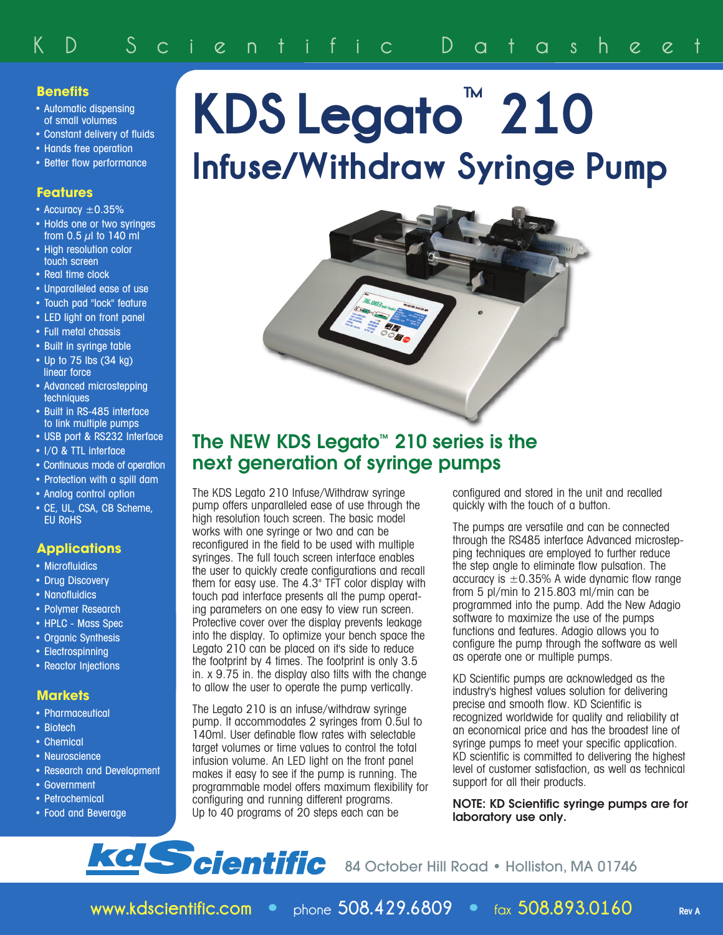### **Benefits**

- Automatic dispensing of small volumes
- Constant delivery of fluids
- Hands free operation
- Better flow performance

### **Features**

- Accuracy  $\pm 0.35\%$
- Holds one or two syringes from 0.5  $\mu$ l to 140 ml
- High resolution color touch screen
- Real time clock
- Unparalleled ease of use
- Touch pad "lock" feature
- LED light on front panel
- Full metal chassis
- Built in syringe table
- Up to 75 lbs (34 kg) linear force
- Advanced microstepping **techniques**
- Built in RS-485 interface to link multiple pumps
- USB port & RS232 Interface
- I/O & TTL interface
- Continuous mode of operation
- Protection with a spill dam
- Analog control option
- CE, UL, CSA, CB Scheme, EU RoHS

### **Applications**

- Microfluidics
- Drug Discovery
- Nanofluidics
- Polymer Research
- HPLC Mass Spec
- Organic Synthesis
- Electrospinning
- Reactor Injections

### **Markets**

- Pharmaceutical
- Biotech
- Chemical
- Neuroscience
- Research and Development
- Government
- Petrochemical
- Food and Beverage

# **KDS Legato ™ 210 Infuse/Withdraw Syringe Pump**



# **The NEW KDS Legato™ 210 series is the next generation of syringe pumps**

The KDS Legato 210 Infuse/Withdraw syringe pump offers unparalleled ease of use through the high resolution touch screen. The basic model works with one syringe or two and can be reconfigured in the field to be used with multiple syringes. The full touch screen interface enables the user to quickly create configurations and recall them for easy use. The 4.3" TFT color display with touch pad interface presents all the pump operating parameters on one easy to view run screen. Protective cover over the display prevents leakage into the display. To optimize your bench space the Legato 210 can be placed on it's side to reduce the footprint by 4 times. The footprint is only 3.5 in. x 9.75 in. the display also tilts with the change to allow the user to operate the pump vertically.

The Legato 210 is an infuse/withdraw syringe pump. It accommodates 2 syringes from 0.5ul to 140ml. User definable flow rates with selectable target volumes or time values to control the total infusion volume. An LED light on the front panel makes it easy to see if the pump is running. The programmable model offers maximum flexibility for configuring and running different programs. Up to 40 programs of 20 steps each can be

configured and stored in the unit and recalled quickly with the touch of a button.

The pumps are versatile and can be connected through the RS485 interface Advanced microstepping techniques are employed to further reduce the step angle to eliminate flow pulsation. The accuracy is  $\pm 0.35\%$  A wide dynamic flow range from 5 pl/min to 215.803 ml/min can be programmed into the pump. Add the New Adagio software to maximize the use of the pumps functions and features. Adagio allows you to configure the pump through the software as well as operate one or multiple pumps.

KD Scientific pumps are acknowledged as the industry's highest values solution for delivering precise and smooth flow. KD Scientific is recognized worldwide for quality and reliability at an economical price and has the broadest line of syringe pumps to meet your specific application. KD scientific is committed to delivering the highest level of customer satisfaction, as well as technical support for all their products.

**NOTE: KD Scientific syringe pumps are for laboratory use only.**

# **kd Scientific** 84 October Hill Road • Holliston, MA 01746